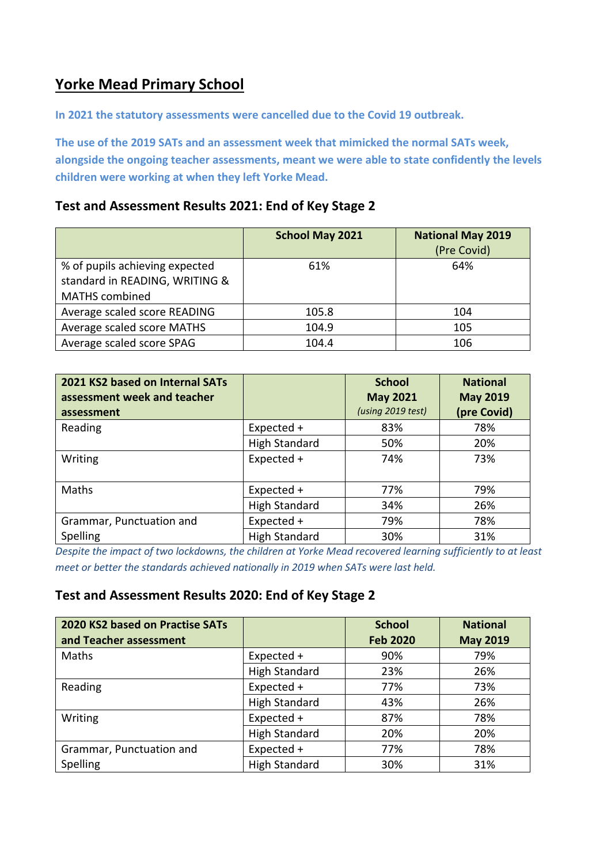## **Yorke Mead Primary School**

**In 2021 the statutory assessments were cancelled due to the Covid 19 outbreak.** 

**The use of the 2019 SATs and an assessment week that mimicked the normal SATs week, alongside the ongoing teacher assessments, meant we were able to state confidently the levels children were working at when they left Yorke Mead.** 

#### **Test and Assessment Results 2021: End of Key Stage 2**

|                                | <b>School May 2021</b> | <b>National May 2019</b> |
|--------------------------------|------------------------|--------------------------|
|                                |                        | (Pre Covid)              |
| % of pupils achieving expected | 61%                    | 64%                      |
| standard in READING, WRITING & |                        |                          |
| <b>MATHS</b> combined          |                        |                          |
| Average scaled score READING   | 105.8                  | 104                      |
| Average scaled score MATHS     | 104.9                  | 105                      |
| Average scaled score SPAG      | 104.4                  | 106                      |

| 2021 KS2 based on Internal SATs<br>assessment week and teacher<br>assessment |                      | <b>School</b><br><b>May 2021</b><br>(using 2019 test) | <b>National</b><br><b>May 2019</b><br>(pre Covid) |
|------------------------------------------------------------------------------|----------------------|-------------------------------------------------------|---------------------------------------------------|
| Reading                                                                      | Expected +           | 83%                                                   | 78%                                               |
|                                                                              | <b>High Standard</b> | 50%                                                   | 20%                                               |
| Writing                                                                      | Expected +           | 74%                                                   | 73%                                               |
| Maths                                                                        | Expected +           | 77%                                                   | 79%                                               |
|                                                                              | <b>High Standard</b> | 34%                                                   | 26%                                               |
| Grammar, Punctuation and                                                     | Expected +           | 79%                                                   | 78%                                               |
| Spelling                                                                     | <b>High Standard</b> | 30%                                                   | 31%                                               |

*Despite the impact of two lockdowns, the children at Yorke Mead recovered learning sufficiently to at least meet or better the standards achieved nationally in 2019 when SATs were last held.* 

#### **Test and Assessment Results 2020: End of Key Stage 2**

| 2020 KS2 based on Practise SATs<br>and Teacher assessment |                      | <b>School</b><br><b>Feb 2020</b> | <b>National</b><br><b>May 2019</b> |
|-----------------------------------------------------------|----------------------|----------------------------------|------------------------------------|
| Maths                                                     | Expected +           | 90%                              | 79%                                |
|                                                           | <b>High Standard</b> | 23%                              | 26%                                |
| Reading                                                   | Expected +           | 77%                              | 73%                                |
|                                                           | <b>High Standard</b> | 43%                              | 26%                                |
| Writing                                                   | Expected +           | 87%                              | 78%                                |
|                                                           | <b>High Standard</b> | 20%                              | 20%                                |
| Grammar, Punctuation and                                  | Expected +           | 77%                              | 78%                                |
| Spelling                                                  | <b>High Standard</b> | 30%                              | 31%                                |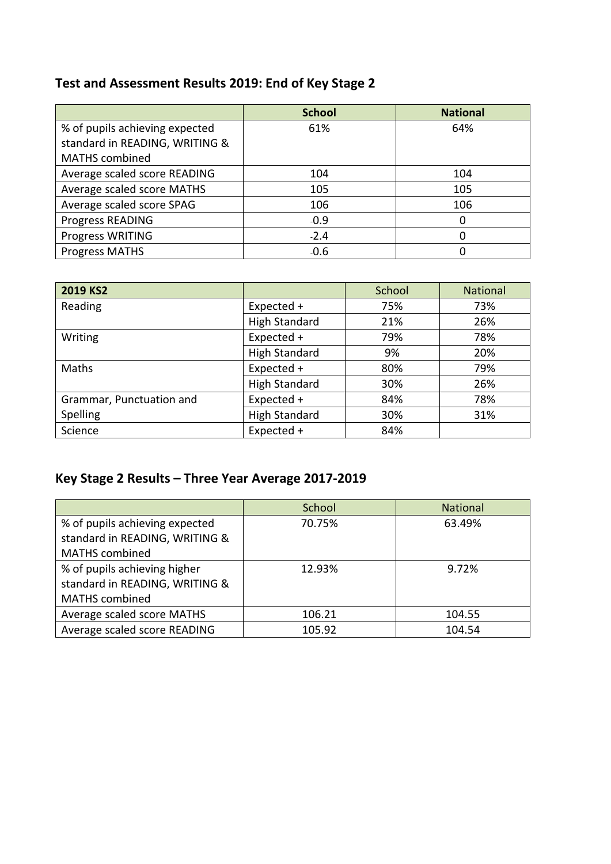## **Test and Assessment Results 2019: End of Key Stage 2**

|                                | <b>School</b> | <b>National</b> |
|--------------------------------|---------------|-----------------|
| % of pupils achieving expected | 61%           | 64%             |
| standard in READING, WRITING & |               |                 |
| <b>MATHS</b> combined          |               |                 |
| Average scaled score READING   | 104           | 104             |
| Average scaled score MATHS     | 105           | 105             |
| Average scaled score SPAG      | 106           | 106             |
| <b>Progress READING</b>        | $-0.9$        | 0               |
| Progress WRITING               | $-2.4$        | ი               |
| <b>Progress MATHS</b>          | $-0.6$        |                 |

| 2019 KS2                 |                      | School | <b>National</b> |
|--------------------------|----------------------|--------|-----------------|
| Reading                  | Expected +           | 75%    | 73%             |
|                          | <b>High Standard</b> | 21%    | 26%             |
| Writing                  | Expected +           | 79%    | 78%             |
|                          | <b>High Standard</b> | 9%     | 20%             |
| Maths                    | Expected +           | 80%    | 79%             |
|                          | <b>High Standard</b> | 30%    | 26%             |
| Grammar, Punctuation and | Expected +           | 84%    | 78%             |
| Spelling                 | <b>High Standard</b> | 30%    | 31%             |
| Science                  | Expected +           | 84%    |                 |

# **Key Stage 2 Results – Three Year Average 2017-2019**

|                                | School | <b>National</b> |
|--------------------------------|--------|-----------------|
| % of pupils achieving expected | 70.75% | 63.49%          |
| standard in READING, WRITING & |        |                 |
| <b>MATHS</b> combined          |        |                 |
| % of pupils achieving higher   | 12.93% | 9.72%           |
| standard in READING, WRITING & |        |                 |
| <b>MATHS</b> combined          |        |                 |
| Average scaled score MATHS     | 106.21 | 104.55          |
| Average scaled score READING   | 105.92 | 104.54          |